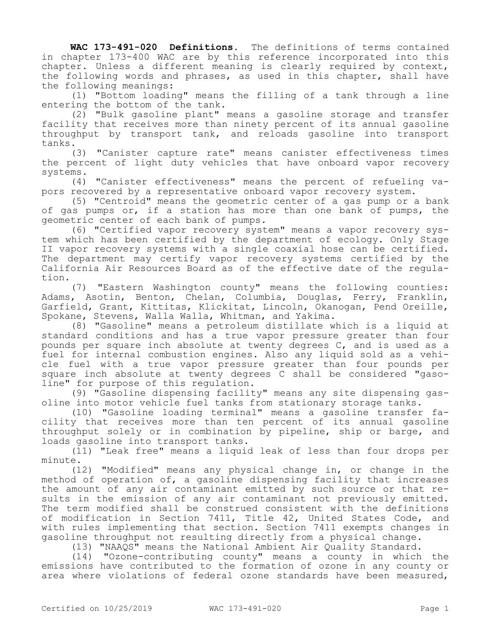**WAC 173-491-020 Definitions.** The definitions of terms contained in chapter 173-400 WAC are by this reference incorporated into this chapter. Unless a different meaning is clearly required by context, the following words and phrases, as used in this chapter, shall have the following meanings:

(1) "Bottom loading" means the filling of a tank through a line entering the bottom of the tank.

(2) "Bulk gasoline plant" means a gasoline storage and transfer facility that receives more than ninety percent of its annual gasoline throughput by transport tank, and reloads gasoline into transport tanks.

(3) "Canister capture rate" means canister effectiveness times the percent of light duty vehicles that have onboard vapor recovery systems.

(4) "Canister effectiveness" means the percent of refueling vapors recovered by a representative onboard vapor recovery system.

(5) "Centroid" means the geometric center of a gas pump or a bank of gas pumps or, if a station has more than one bank of pumps, the geometric center of each bank of pumps.

(6) "Certified vapor recovery system" means a vapor recovery system which has been certified by the department of ecology. Only Stage II vapor recovery systems with a single coaxial hose can be certified. The department may certify vapor recovery systems certified by the California Air Resources Board as of the effective date of the regulation.

(7) "Eastern Washington county" means the following counties: Adams, Asotin, Benton, Chelan, Columbia, Douglas, Ferry, Franklin, Garfield, Grant, Kittitas, Klickitat, Lincoln, Okanogan, Pend Oreille, Spokane, Stevens, Walla Walla, Whitman, and Yakima.

(8) "Gasoline" means a petroleum distillate which is a liquid at standard conditions and has a true vapor pressure greater than four pounds per square inch absolute at twenty degrees C, and is used as a fuel for internal combustion engines. Also any liquid sold as a vehicle fuel with a true vapor pressure greater than four pounds per square inch absolute at twenty degrees C shall be considered "gasoline" for purpose of this regulation.

(9) "Gasoline dispensing facility" means any site dispensing gasoline into motor vehicle fuel tanks from stationary storage tanks.

(10) "Gasoline loading terminal" means a gasoline transfer facility that receives more than ten percent of its annual gasoline throughput solely or in combination by pipeline, ship or barge, and loads gasoline into transport tanks.

(11) "Leak free" means a liquid leak of less than four drops per minute.

(12) "Modified" means any physical change in, or change in the method of operation of, a gasoline dispensing facility that increases the amount of any air contaminant emitted by such source or that results in the emission of any air contaminant not previously emitted. The term modified shall be construed consistent with the definitions of modification in Section 7411, Title 42, United States Code, and with rules implementing that section. Section 7411 exempts changes in gasoline throughput not resulting directly from a physical change.

(13) "NAAQS" means the National Ambient Air Quality Standard.

(14) "Ozone-contributing county" means a county in which the emissions have contributed to the formation of ozone in any county or area where violations of federal ozone standards have been measured,